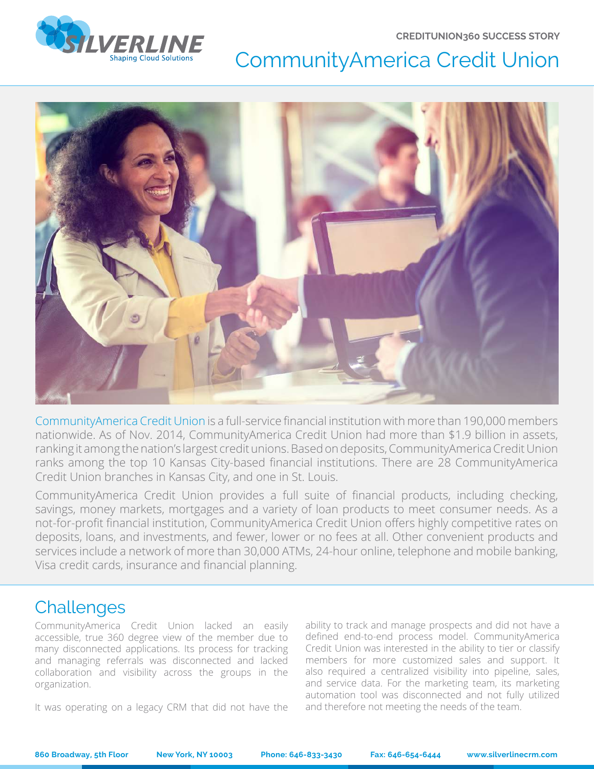**CREDITUNION360 SUCCESS STORY**



# CommunityAmerica Credit Union



CommunityAmerica Credit Union is a full-service financial institution with more than 190,000 members nationwide. As of Nov. 2014, CommunityAmerica Credit Union had more than \$1.9 billion in assets, ranking it among the nation's largest credit unions. Based on deposits, CommunityAmerica Credit Union ranks among the top 10 Kansas City-based financial institutions. There are 28 CommunityAmerica Credit Union branches in Kansas City, and one in St. Louis.

CommunityAmerica Credit Union provides a full suite of financial products, including checking, savings, money markets, mortgages and a variety of loan products to meet consumer needs. As a not-for-profit financial institution, CommunityAmerica Credit Union offers highly competitive rates on deposits, loans, and investments, and fewer, lower or no fees at all. Other convenient products and services include a network of more than 30,000 ATMs, 24-hour online, telephone and mobile banking, Visa credit cards, insurance and financial planning.

### **Challenges**

CommunityAmerica Credit Union lacked an easily accessible, true 360 degree view of the member due to many disconnected applications. Its process for tracking and managing referrals was disconnected and lacked collaboration and visibility across the groups in the organization.

It was operating on a legacy CRM that did not have the

ability to track and manage prospects and did not have a defined end-to-end process model. CommunityAmerica Credit Union was interested in the ability to tier or classify members for more customized sales and support. It also required a centralized visibility into pipeline, sales, and service data. For the marketing team, its marketing automation tool was disconnected and not fully utilized and therefore not meeting the needs of the team.